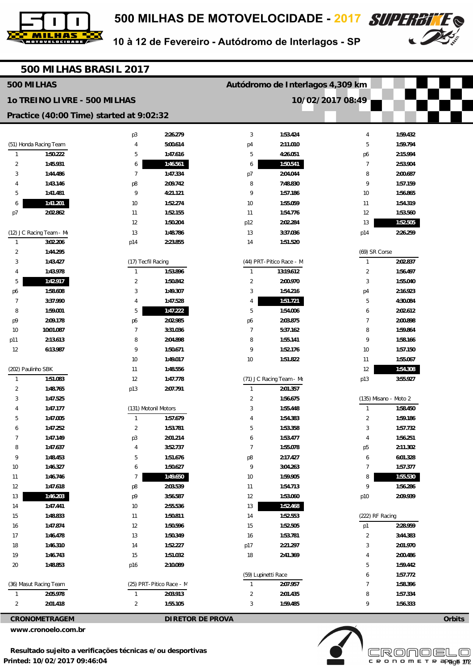



10 à 12 de Fevereiro - Autódromo de Interlagos - SP

|                    | 500 MILHAS BRASIL 2017       |                                          |                          |                     |                                  |                  |                       |        |
|--------------------|------------------------------|------------------------------------------|--------------------------|---------------------|----------------------------------|------------------|-----------------------|--------|
| 500 MILHAS         |                              |                                          |                          |                     | Autódromo de Interlagos 4,309 km |                  |                       |        |
|                    | 10 TREINO LIVRE - 500 MILHAS |                                          |                          |                     |                                  | 10/02/2017 08:49 |                       |        |
|                    |                              | Practice (40:00 Time) started at 9:02:32 |                          |                     |                                  |                  |                       |        |
|                    |                              | p <sub>3</sub>                           | 2:26.279                 | 3                   | 1:53.424                         | $\overline{4}$   | 1:59.432              |        |
|                    | (51) Honda Racing Team       | 4                                        | 5:00.614                 | p <sub>4</sub>      | 2:11.010                         | 5                | 1:59.794              |        |
| $\mathbf{1}$       | 1:50.222                     | 5                                        | 1:47.616                 | 5                   | 4:26.051                         | p6               | 2:15.994              |        |
| 2                  | 1:45.931                     | 6                                        | 1:46.561                 | 6                   | 1:50.541                         | $\overline{7}$   | 2:53.904              |        |
| 3                  | 1:44.486                     | 7                                        | 1:47.334                 | p7                  | 2:04.044                         | 8                | 2:00.687              |        |
| 4                  | 1:43.146                     | p8                                       | 2:09.742                 | 8                   | 7:48.830                         | 9                | 1:57.159              |        |
| 5                  | 1:41.481                     | 9                                        | 4:21.121                 | 9                   | 1:57.186                         | 10               | 1:56.865              |        |
| 6                  | 1:41.201                     | 10                                       | 1:52.274                 | 10                  | 1:55.059                         | 11               | 1:54.319              |        |
| p7                 | 2:02.862                     | 11                                       | 1:52.155                 | 11                  | 1:54.776                         | 12               | 1:53.560              |        |
|                    |                              | 12                                       | 1:50.204                 | p12                 | 2:02.284                         | 13               | 1:52.505              |        |
|                    | (12) JC Racing Team - Mo     | 13                                       | 1:48.786                 | 13                  | 3:37.036                         | p14              | 2:26.259              |        |
| $\mathbf{1}$       | 3:02.206                     | p14                                      | 2:23.855                 | 14                  | 1:51.520                         |                  |                       |        |
| $\overline{2}$     | 1:44.295                     |                                          |                          |                     |                                  | (69) SR Corse    |                       |        |
| 3                  | 1:43.427                     | (17) Tecfil Racing                       |                          |                     | (44) PRT-Pitico Race - M         | $\mathbf{1}$     | 2:02.837              |        |
| 4                  | 1:43.978                     | $\mathbf{1}$                             | 1:53.896                 | $\mathbf{1}$        | 13:19.612                        | $\overline{2}$   | 1:56.497              |        |
| 5                  | 1:42.917                     | $\overline{2}$                           | 1:50.842                 | $\overline{2}$      | 2:00.970                         | 3                | 1:55.040              |        |
| p6                 | 1:58.608                     | 3                                        | 1:49.307                 | 3                   | 1:54.216                         | p4               | 2:16.923              |        |
| $\overline{7}$     | 3:37.990                     | 4                                        | 1:47.528                 | 4                   | 1:51.721                         | 5                | 4:30.084              |        |
| 8                  | 1:59.001                     | 5                                        | 1:47.222                 | $5\,$               | 1:54.006                         | 6                | 2:02.612              |        |
| p9                 | 2:09.178                     | p6                                       | 2:02.985                 | p6                  | 2:03.875                         | 7                | 2:00.898              |        |
| 10                 | 10:01.087                    | 7                                        | 3:31.036                 | $\overline{7}$      | 5:37.162                         | 8                | 1:59.864              |        |
| p11                | 2:13.613                     | 8                                        | 2:04.898                 | 8                   | 1:55.141                         | 9                | 1:58.166              |        |
| 12                 | 6:13.987                     | 9                                        | 1:50.671                 | 9                   | 1:52.176                         | 10               | 1:57.150              |        |
|                    |                              | 10                                       | 1:49.017                 | 10                  | 1:51.822                         | 11               | 1:55.067              |        |
| (202) Paulinho SBK |                              | 11                                       | 1:48.556                 |                     |                                  | 12               | 1:54.308              |        |
| $\mathbf{1}$       | 1:51.083                     | 12                                       | 1:47.778                 |                     | (71) JC Racing Team - Mo         | p13              | 3:55.927              |        |
| 2                  | 1:48.765                     | p13                                      | 2:07.791                 | $\mathbf{1}$        | 2:01.357                         |                  |                       |        |
| 3                  | 1:47.525                     |                                          |                          | $\overline{2}$      | 1:56.675                         |                  | (135) Misano - Moto 2 |        |
| 4                  | 1:47.177                     | (131) Motonil Motors                     |                          | 3                   | 1:55.448                         | $\mathbf{1}$     | 1:58.450              |        |
| b                  | 1:47.005                     |                                          | 1:57.679                 | 4                   | 1:54.383                         | $\overline{2}$   | 1:59.186              |        |
| 6                  | 1:47.252                     | $\overline{2}$                           | 1:53.781                 | 5                   | 1:53.358                         | 3                | 1:57.732              |        |
| $\overline{7}$     | 1:47.149                     | p3                                       | 2:01.214                 | 6                   | 1:53.477                         | $\overline{4}$   | 1:56.251              |        |
| 8                  | 1:47.637                     | 4                                        | 3:52.737                 | $\overline{7}$      | 1:55.078                         | p <sub>5</sub>   | 2:11.302              |        |
| 9                  | 1:48.453                     | 5                                        | 1:51.676                 | p8                  | 2:17.427                         | 6                | 6:01.328              |        |
| $10$               | 1:46.327                     | 6                                        | 1:50.627                 | 9                   | 3:04.263                         | $\overline{7}$   | 1:57.377              |        |
| 11                 | 1:46.746                     | 7                                        | 1:49.650                 | $10$                | 1:59.905                         | 8                | 1:55.530              |        |
| 12                 | 1:47.618                     | p8                                       | 2:03.539                 | 11                  | 1:54.713                         | 9                | 1:56.286              |        |
| 13                 | 1:46.203                     | p9                                       | 3:56.587                 | 12                  | 1:53.060                         | p10              | 2:09.939              |        |
| 14                 | 1:47.441                     | 10                                       | 2:55.536                 | 13                  | 1:52.468                         |                  |                       |        |
| 15                 | 1:48.833                     | 11                                       | 1:50.811                 | 14                  | 1:52.553                         | (222) RF Racing  |                       |        |
| 16                 | 1:47.874                     | 12                                       | 1:50.596                 | 15                  | 1:52.505                         | p1               | 2:28.959              |        |
| 17                 | 1:46.478                     | 13                                       | 1:50.349                 | 16                  | 1:53.781                         | $\overline{2}$   | 3:44.383              |        |
| 18                 | 1:46.310                     | 14                                       | 1:52.227                 | p17                 | 2:21.297                         | 3                | 2:01.970              |        |
| 19                 | 1:46.743                     | 15                                       | 1:51.032                 | 18                  | 2:41.369                         | $\overline{4}$   | 2:00.486              |        |
| 20                 | 1:48.853                     | p16                                      | 2:10.089                 |                     |                                  | 5                | 1:59.442              |        |
|                    |                              |                                          |                          | (59) Lupinetti Race |                                  | 6                | 1:57.772              |        |
|                    | (36) Masut Racing Team       |                                          | (25) PRT-Pitico Race - M | 1                   | 2:07.957                         | $\overline{7}$   | 1:58.396              |        |
| $\mathbf{1}$       | 2:05.978                     | $\mathbf{1}$                             | 2:03.913                 | 2                   | 2:01.435                         | 8                | 1:57.334              |        |
| $\overline{2}$     | 2:01.418                     | $\overline{2}$                           | 1:55.105                 | 3                   | 1:59.485                         | 9                | 1:56.333              |        |
|                    | <b>CRONOMETRAGEM</b>         |                                          | <b>DIRETOR DE PROVA</b>  |                     |                                  |                  |                       | Orbits |

**www.cronoelo.com.br** 



**Licensed to: Cronoelo** 

CRONOMETRAP<sub>age</sub> 172